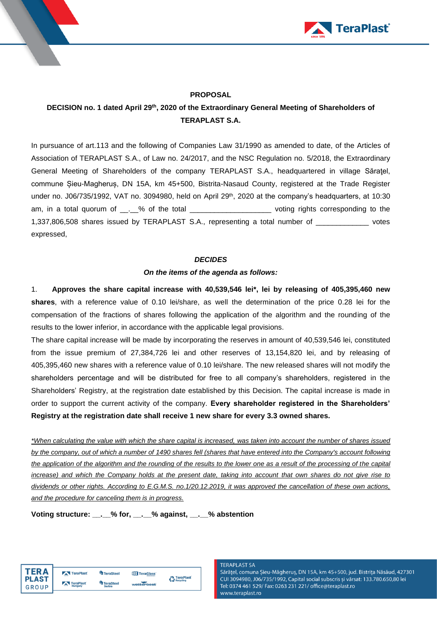



# **PROPOSAL**

# **DECISION no. 1 dated April 29 th , 2020 of the Extraordinary General Meeting of Shareholders of TERAPLAST S.A.**

In pursuance of art.113 and the following of Companies Law 31/1990 as amended to date, of the Articles of Association of TERAPLAST S.A., of Law no. 24/2017, and the NSC Regulation no. 5/2018, the Extraordinary General Meeting of Shareholders of the company TERAPLAST S.A., headquartered in village Săratel, commune Șieu-Magheruș, DN 15A, km 45+500, Bistrita-Nasaud County, registered at the Trade Register under no. J06/735/1992, VAT no. 3094980, held on April 29<sup>th</sup>, 2020 at the company's headquarters, at 10:30 am, in a total quorum of  $\_\_\_\_\_\$ of the total  $\_\_\_\_\_\_\_\_\_\_\_\_\_\_$  voting rights corresponding to the 1,337,806,508 shares issued by TERAPLAST S.A., representing a total number of \_\_\_\_\_\_\_\_\_\_\_\_\_ votes expressed,

# *DECIDES*

# *On the items of the agenda as follows:*

1. **Approves the share capital increase with 40,539,546 lei\*, lei by releasing of 405,395,460 new shares**, with a reference value of 0.10 lei/share, as well the determination of the price 0.28 lei for the compensation of the fractions of shares following the application of the algorithm and the rounding of the results to the lower inferior, in accordance with the applicable legal provisions.

The share capital increase will be made by incorporating the reserves in amount of 40,539,546 lei, constituted from the issue premium of 27,384,726 lei and other reserves of 13,154,820 lei, and by releasing of 405,395,460 new shares with a reference value of 0.10 lei/share. The new released shares will not modify the shareholders percentage and will be distributed for free to all company's shareholders, registered in the Shareholders' Registry, at the registration date established by this Decision. The capital increase is made in order to support the current activity of the company. **Every shareholder registered in the Shareholders' Registry at the registration date shall receive 1 new share for every 3.3 owned shares.**

*\*When calculating the value with which the share capital is increased, was taken into account the number of shares issued by the company, out of which a number of 1490 shares fell (shares that have entered into the Company's account following the application of the algorithm and the rounding of the results to the lower one as a result of the processing of the capital increase) and which the Company holds at the present date, taking into account that own shares do not give rise to dividends or other rights. According to E.G.M.S. no.1/20.12.2019, it was approved the cancellation of these own actions, and the procedure for canceling them is in progress.*

**Voting structure: \_\_.\_\_% for, \_\_.\_\_% against, \_\_.\_\_% abstention**

TeraPlast

| TER A        | <b>TeraPlast</b> | <b>TeraSteel</b> | <b>THE TeraGlass</b> |
|--------------|------------------|------------------|----------------------|
| <b>PLAST</b> | TeraPlast        | TeraSteel        |                      |
| GROUP        | Hungary          | Serbia           | wetterbest           |

#### **TFRAPI AST SA**

Sărățel, comuna Șieu-Măgheruș, DN 15A, km 45+500, jud. Bistrița Năsăud, 427301 CUI 3094980, J06/735/1992, Capital social subscris și vărsat: 133.780.650,80 lei Tel: 0374 461 529/ Fax: 0263 231 221/ office@teraplast.ro www.teraplast.ro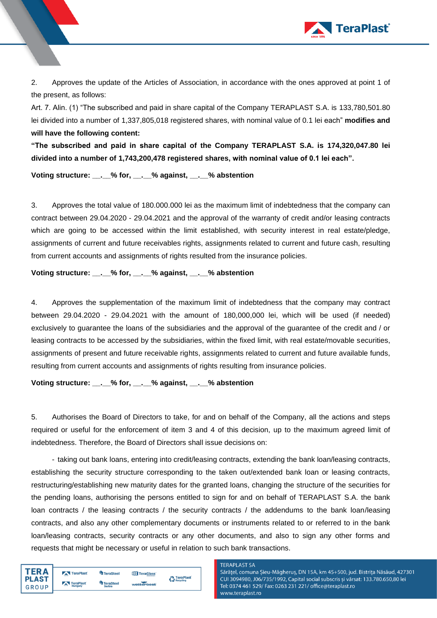

2. Approves the update of the Articles of Association, in accordance with the ones approved at point 1 of the present, as follows:

Art. 7. Alin. (1) "The subscribed and paid in share capital of the Company TERAPLAST S.A. is 133,780,501.80 lei divided into a number of 1,337,805,018 registered shares, with nominal value of 0.1 lei each" **modifies and will have the following content:**

**"The subscribed and paid in share capital of the Company TERAPLAST S.A. is 174,320,047.80 lei divided into a number of 1,743,200,478 registered shares, with nominal value of 0.1 lei each".**

**Voting structure: \_\_.\_\_% for, \_\_.\_\_% against, \_\_.\_\_% abstention**

3. Approves the total value of 180.000.000 lei as the maximum limit of indebtedness that the company can contract between 29.04.2020 - 29.04.2021 and the approval of the warranty of credit and/or leasing contracts which are going to be accessed within the limit established, with security interest in real estate/pledge, assignments of current and future receivables rights, assignments related to current and future cash, resulting from current accounts and assignments of rights resulted from the insurance policies.

**Voting structure: \_\_.\_\_% for, \_\_.\_\_% against, \_\_.\_\_% abstention**

4. Approves the supplementation of the maximum limit of indebtedness that the company may contract between 29.04.2020 - 29.04.2021 with the amount of 180,000,000 lei, which will be used (if needed) exclusively to guarantee the loans of the subsidiaries and the approval of the guarantee of the credit and / or leasing contracts to be accessed by the subsidiaries, within the fixed limit, with real estate/movable securities, assignments of present and future receivable rights, assignments related to current and future available funds, resulting from current accounts and assignments of rights resulting from insurance policies.

**Voting structure: \_\_.\_\_% for, \_\_.\_\_% against, \_\_.\_\_% abstention**

5. Authorises the Board of Directors to take, for and on behalf of the Company, all the actions and steps required or useful for the enforcement of item 3 and 4 of this decision, up to the maximum agreed limit of indebtedness. Therefore, the Board of Directors shall issue decisions on:

- taking out bank loans, entering into credit/leasing contracts, extending the bank loan/leasing contracts, establishing the security structure corresponding to the taken out/extended bank loan or leasing contracts, restructuring/establishing new maturity dates for the granted loans, changing the structure of the securities for the pending loans, authorising the persons entitled to sign for and on behalf of TERAPLAST S.A. the bank loan contracts / the leasing contracts / the security contracts / the addendums to the bank loan/leasing contracts, and also any other complementary documents or instruments related to or referred to in the bank loan/leasing contracts, security contracts or any other documents, and also to sign any other forms and requests that might be necessary or useful in relation to such bank transactions.

| <b>TERA</b><br><b>PLAST</b> | TeraPlast      | <b>TeraSteel</b> | TeraGlass  | <b>A</b> TeraPlast |
|-----------------------------|----------------|------------------|------------|--------------------|
|                             | TeraPlast      | TeraSteel        |            | Recycling          |
| GROUP                       | $-$<br>Hungary | <b>Serbia</b>    | wetterbest |                    |

#### **TERAPLAST SA**

Sărățel, comuna Șieu-Măgheruș, DN 15A, km 45+500, jud. Bistrița Năsăud, 427301 CUI 3094980, J06/735/1992, Capital social subscris și vărsat: 133.780.650,80 lei Tel: 0374 461 529/ Fax: 0263 231 221/ office@teraplast.ro www.teraplast.ro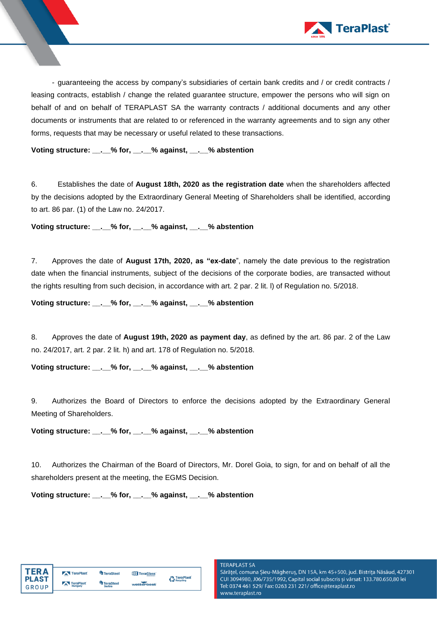

- guaranteeing the access by company's subsidiaries of certain bank credits and / or credit contracts / leasing contracts, establish / change the related guarantee structure, empower the persons who will sign on behalf of and on behalf of TERAPLAST SA the warranty contracts / additional documents and any other documents or instruments that are related to or referenced in the warranty agreements and to sign any other forms, requests that may be necessary or useful related to these transactions.

**Voting structure: \_\_.\_\_% for, \_\_.\_\_% against, \_\_.\_\_% abstention**

6. Establishes the date of **August 18th, 2020 as the registration date** when the shareholders affected by the decisions adopted by the Extraordinary General Meeting of Shareholders shall be identified, according to art. 86 par. (1) of the Law no. 24/2017.

**Voting structure: \_\_.\_\_% for, \_\_.\_\_% against, \_\_.\_\_% abstention**

7. Approves the date of **August 17th, 2020, as "ex-date**", namely the date previous to the registration date when the financial instruments, subject of the decisions of the corporate bodies, are transacted without the rights resulting from such decision, in accordance with art. 2 par. 2 lit. l) of Regulation no. 5/2018.

**Voting structure: \_\_.\_\_% for, \_\_.\_\_% against, \_\_.\_\_% abstention**

8. Approves the date of **August 19th, 2020 as payment day**, as defined by the art. 86 par. 2 of the Law no. 24/2017, art. 2 par. 2 lit. h) and art. 178 of Regulation no. 5/2018.

**Voting structure: \_\_.\_\_% for, \_\_.\_\_% against, \_\_.\_\_% abstention**

9. Authorizes the Board of Directors to enforce the decisions adopted by the Extraordinary General Meeting of Shareholders.

**Voting structure: \_\_.\_\_% for, \_\_.\_\_% against, \_\_.\_\_% abstention**

10. Authorizes the Chairman of the Board of Directors, Mr. Dorel Goia, to sign, for and on behalf of all the shareholders present at the meeting, the EGMS Decision.

**Voting structure: \_\_.\_\_% for, \_\_.\_\_% against, \_\_.\_\_% abstention**

| <b>TERA</b>             | TeraPlast                   | TeraSteel                         | TeraGlass  | TeraPlast |
|-------------------------|-----------------------------|-----------------------------------|------------|-----------|
| <b>I PLAST</b><br>GROUP | TeraPlast<br>$-$<br>Hungary | <b>TeraSteel</b><br><b>Serbia</b> | wetterbest | Recycling |